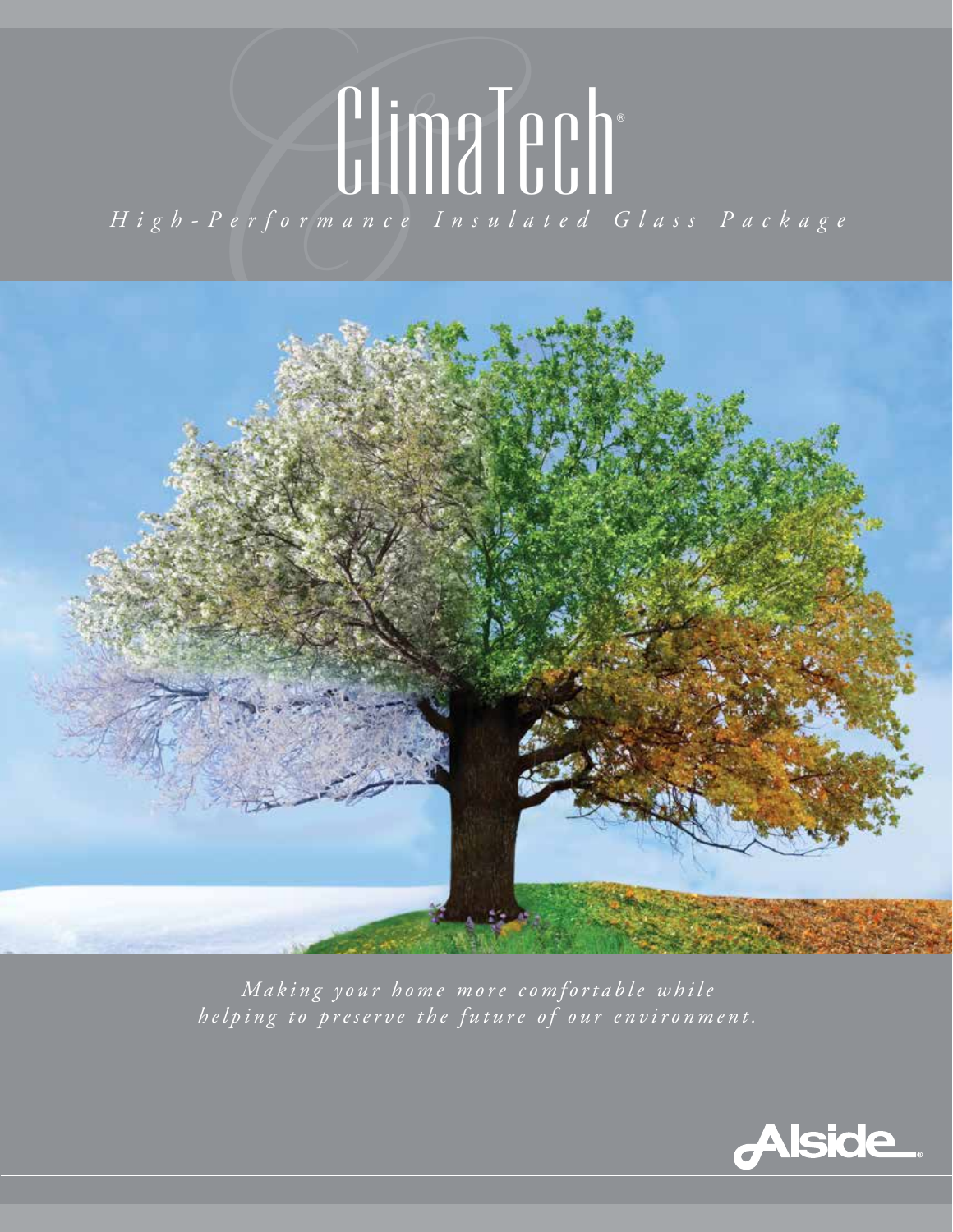# ClimaTech®

*High-Performance Insulated Glass Package*



*Making your home more comfortable while helping to preserve the future of our environment.*

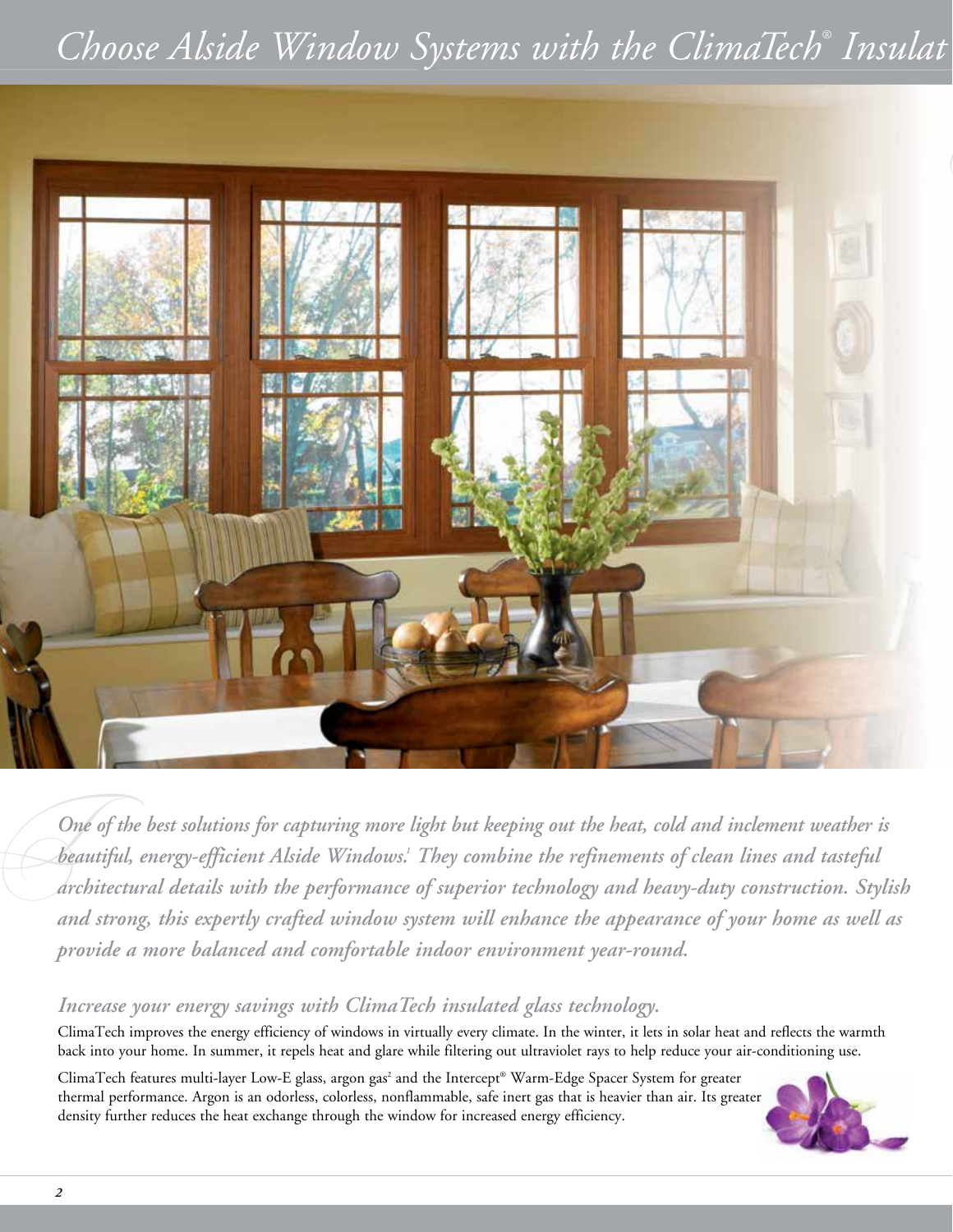# *Choose Alside Window Systems with the ClimaTech® Insulat*



One<br>bear<br>arch *One of the best solutions for capturing more light but keeping out the heat, cold and inclement weather is beautiful, energy-efficient Alside Windows. 1 They combine the refinements of clean lines and tasteful architectural details with the performance of superior technology and heavy-duty construction. Stylish and strong, this expertly crafted window system will enhance the appearance of your home as well as provide a more balanced and comfortable indoor environment year-round.* 

### *Increase your energy savings with ClimaTech insulated glass technology.*

ClimaTech improves the energy efficiency of windows in virtually every climate. In the winter, it lets in solar heat and reflects the warmth back into your home. In summer, it repels heat and glare while filtering out ultraviolet rays to help reduce your air-conditioning use.

ClimaTech features multi-layer Low-E glass, argon gas<sup>2</sup> and the Intercept® Warm-Edge Spacer System for greater thermal performance. Argon is an odorless, colorless, nonflammable, safe inert gas that is heavier than air. Its greater density further reduces the heat exchange through the window for increased energy efficiency.

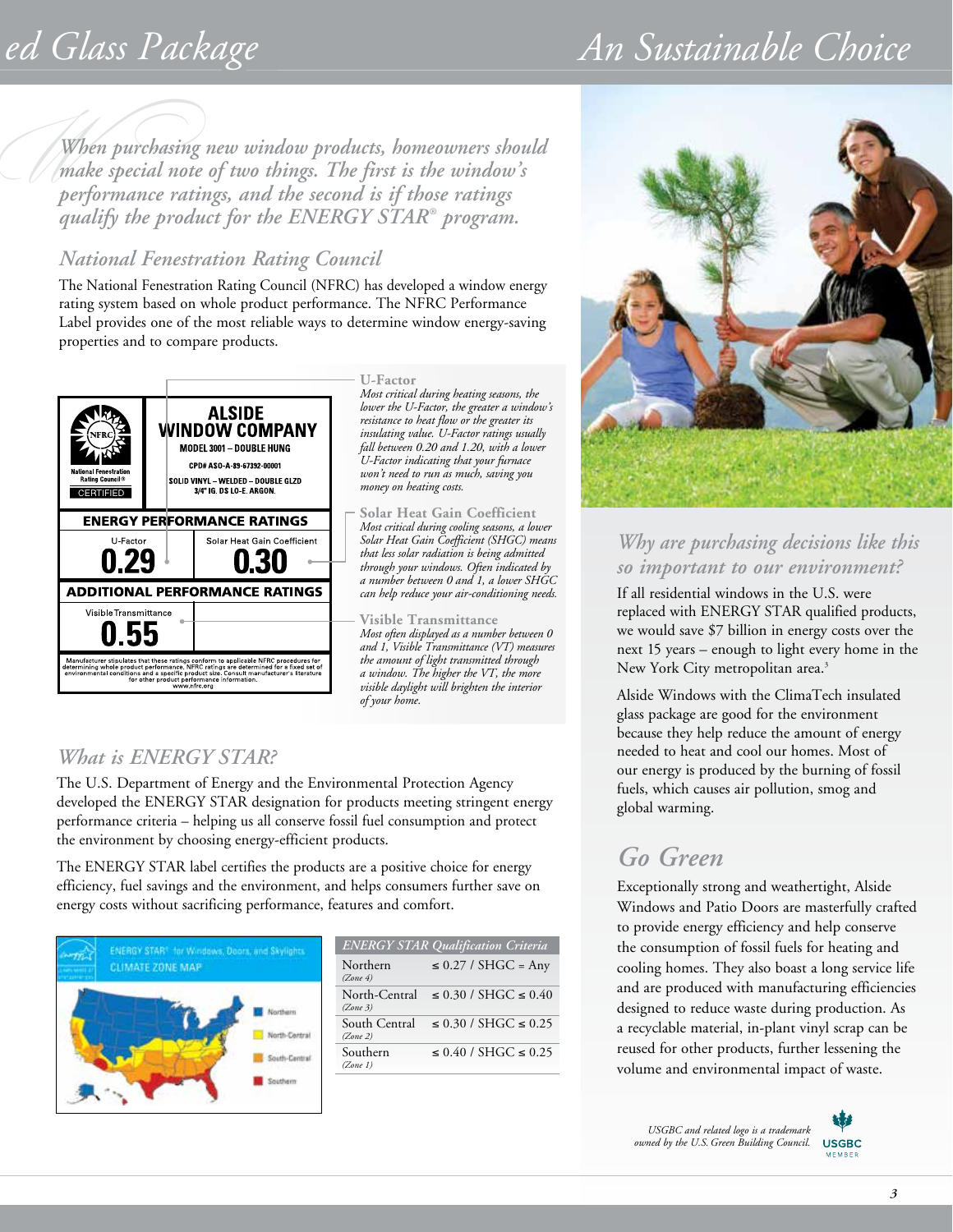# $ed$  Glass Package

# *An Sustainable Choice*

*W When purchasing new window products, homeowners should make special note of two things. The first is the window's performance ratings, and the second is if those ratings qualify the product for the ENERGY STAR® program.* 

### *National Fenestration Rating Council*

The National Fenestration Rating Council (NFRC) has developed a window energy rating system based on whole product performance. The NFRC Performance Label provides one of the most reliable ways to determine window energy-saving properties and to compare products.



**U-Factor**

*Most critical during heating seasons, the lower the U-Factor, the greater a window's resistance to heat flow or the greater its insulating value. U-Factor ratings usually fall between 0.20 and 1.20, with a lower U-Factor indicating that your furnace won't need to run as much, saving you money on heating costs.*

**Solar Heat Gain Coefficient** *Most critical during cooling seasons, a lower Solar Heat Gain Coefficient (SHGC) means that less solar radiation is being admitted through your windows. Often indicated by a number between 0 and 1, a lower SHGC can help reduce your air-conditioning needs.*

**Visible Transmittance** *Most often displayed as a number between 0 and 1, Visible Transmittance (VT) measures the amount of light transmitted through a window. The higher the VT, the more visible daylight will brighten the interior of your home.*

### *What is ENERGY STAR?*

The U.S. Department of Energy and the Environmental Protection Agency developed the ENERGY STAR designation for products meeting stringent energy performance criteria – helping us all conserve fossil fuel consumption and protect the environment by choosing energy-efficient products.

The ENERGY STAR label certifies the products are a positive choice for energy efficiency, fuel savings and the environment, and helps consumers further save on energy costs without sacrificing performance, features and comfort.



| <b>ENERGY STAR Qualification Criteria</b> |                                |
|-------------------------------------------|--------------------------------|
| Northern<br>(Zone 4)                      | $\leq$ 0.27 / SHGC = Any       |
| North-Central<br>(Zone 3)                 | $\leq$ 0.30 / SHGC $\leq$ 0.40 |
| South Central<br>(Zone 2)                 | $\leq$ 0.30 / SHGC $\leq$ 0.25 |
| Southern<br>(Zone 1)                      | $\leq 0.40$ / SHGC $\leq 0.25$ |



### *Why are purchasing decisions like this so important to our environment?*

If all residential windows in the U.S. were replaced with ENERGY STAR qualified products, we would save \$7 billion in energy costs over the next 15 years – enough to light every home in the New York City metropolitan area.<sup>3</sup>

Alside Windows with the ClimaTech insulated glass package are good for the environment because they help reduce the amount of energy needed to heat and cool our homes. Most of our energy is produced by the burning of fossil fuels, which causes air pollution, smog and global warming.

### *Go Green*

Exceptionally strong and weathertight, Alside Windows and Patio Doors are masterfully crafted to provide energy efficiency and help conserve the consumption of fossil fuels for heating and cooling homes. They also boast a long service life and are produced with manufacturing efficiencies designed to reduce waste during production. As a recyclable material, in-plant vinyl scrap can be reused for other products, further lessening the volume and environmental impact of waste.

*USGBC and related logo is a trademark owned by the U.S. Green Building Council.*

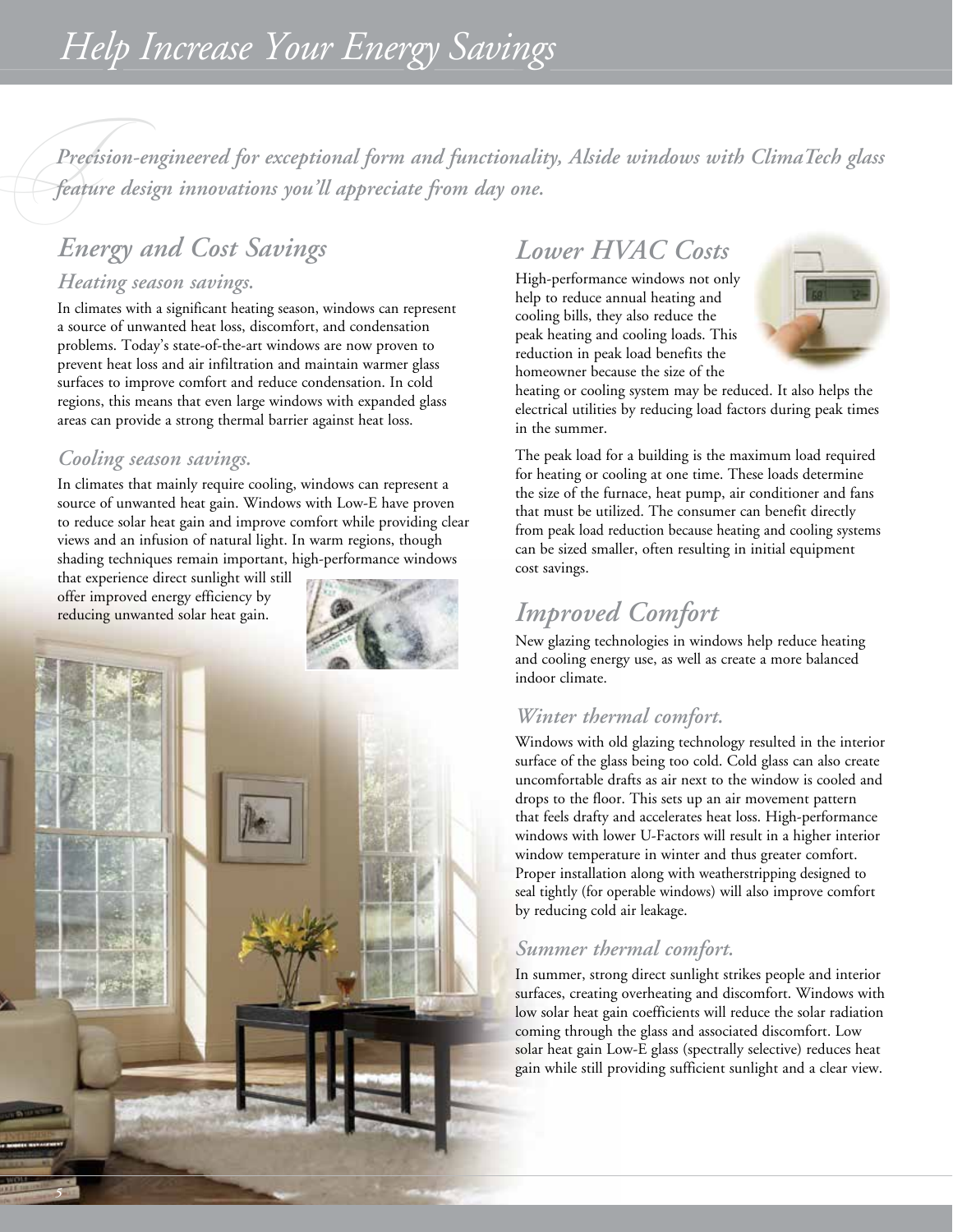*TPrecision-engineered for exceptional form and functionality, Alside windows with ClimaTech glass feature design innovations you'll appreciate from day one.*

# *Energy and Cost Savings*

### *Heating season savings.*

In climates with a significant heating season, windows can represent a source of unwanted heat loss, discomfort, and condensation problems. Today's state-of-the-art windows are now proven to prevent heat loss and air infiltration and maintain warmer glass surfaces to improve comfort and reduce condensation. In cold regions, this means that even large windows with expanded glass areas can provide a strong thermal barrier against heat loss.

### *Cooling season savings.*

In climates that mainly require cooling, windows can represent a source of unwanted heat gain. Windows with Low-E have proven to reduce solar heat gain and improve comfort while providing clear views and an infusion of natural light. In warm regions, though shading techniques remain important, high-performance windows

that experience direct sunlight will still offer improved energy efficiency by reducing unwanted solar heat gain.



### *Lower HVAC Costs*

High-performance windows not only help to reduce annual heating and cooling bills, they also reduce the peak heating and cooling loads. This reduction in peak load benefits the homeowner because the size of the



heating or cooling system may be reduced. It also helps the electrical utilities by reducing load factors during peak times in the summer.

The peak load for a building is the maximum load required for heating or cooling at one time. These loads determine the size of the furnace, heat pump, air conditioner and fans that must be utilized. The consumer can benefit directly from peak load reduction because heating and cooling systems can be sized smaller, often resulting in initial equipment cost savings.

### *Improved Comfort*

New glazing technologies in windows help reduce heating and cooling energy use, as well as create a more balanced indoor climate.

### *Winter thermal comfort.*

Windows with old glazing technology resulted in the interior surface of the glass being too cold. Cold glass can also create uncomfortable drafts as air next to the window is cooled and drops to the floor. This sets up an air movement pattern that feels drafty and accelerates heat loss. High-performance windows with lower U-Factors will result in a higher interior window temperature in winter and thus greater comfort. Proper installation along with weatherstripping designed to seal tightly (for operable windows) will also improve comfort by reducing cold air leakage.

### *Summer thermal comfort.*

In summer, strong direct sunlight strikes people and interior surfaces, creating overheating and discomfort. Windows with low solar heat gain coefficients will reduce the solar radiation coming through the glass and associated discomfort. Low solar heat gain Low-E glass (spectrally selective) reduces heat gain while still providing sufficient sunlight and a clear view.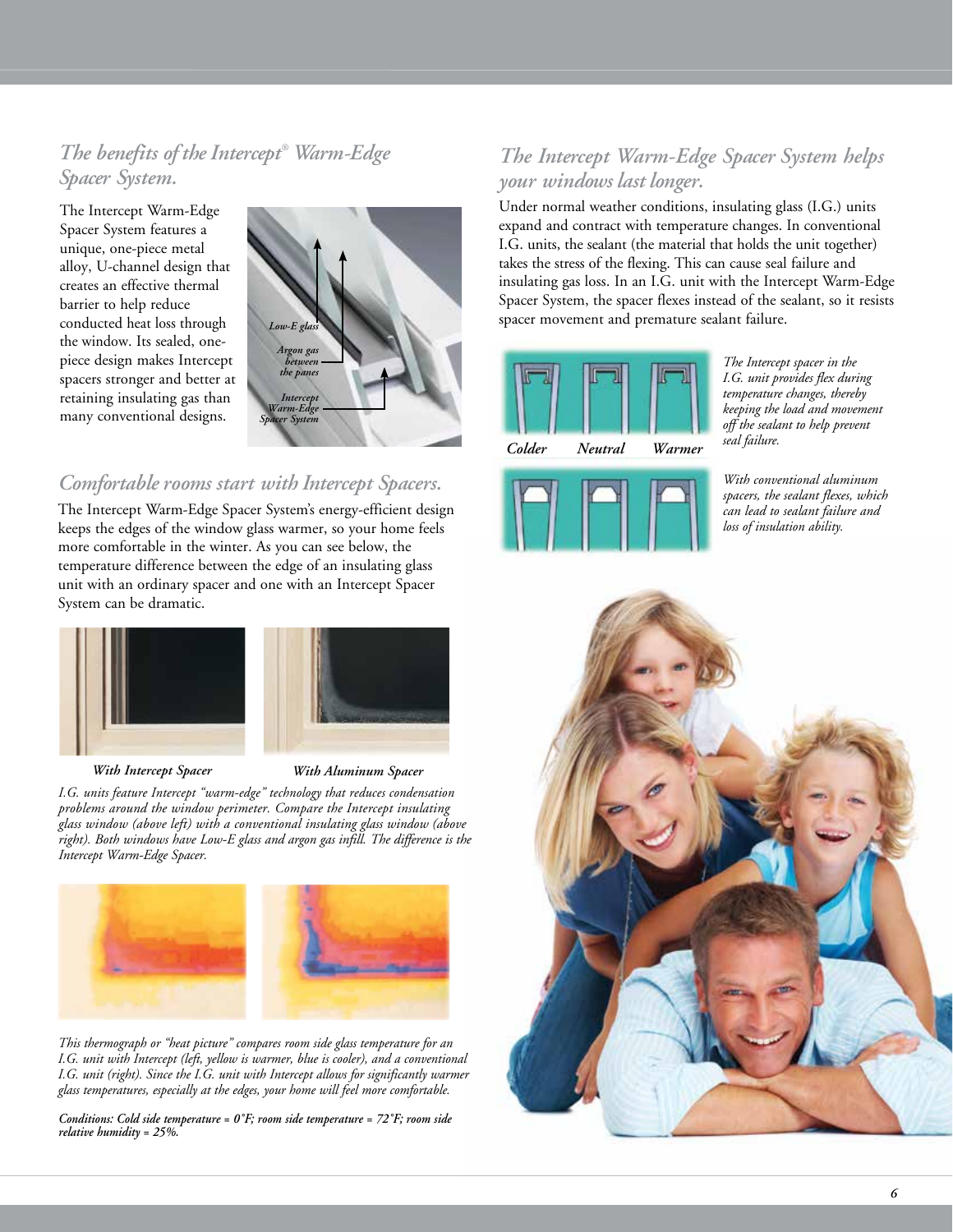*The benefits of the Intercept® Warm-Edge Spacer System.*

The Intercept Warm-Edge Spacer System features a unique, one-piece metal alloy, U-channel design that creates an effective thermal barrier to help reduce conducted heat loss through the window. Its sealed, onepiece design makes Intercept spacers stronger and better at retaining insulating gas than many conventional designs.



### *Comfortable rooms start with Intercept Spacers.*

The Intercept Warm-Edge Spacer System's energy-efficient design keeps the edges of the window glass warmer, so your home feels more comfortable in the winter. As you can see below, the temperature difference between the edge of an insulating glass unit with an ordinary spacer and one with an Intercept Spacer System can be dramatic.



*With Intercept Spacer With Aluminum Spacer*

*I.G. units feature Intercept "warm-edge" technology that reduces condensation problems around the window perimeter. Compare the Intercept insulating glass window (above left) with a conventional insulating glass window (above right). Both windows have Low-E glass and argon gas infill. The difference is the Intercept Warm-Edge Spacer.*



*This thermograph or "heat picture" compares room side glass temperature for an I.G. unit with Intercept (left, yellow is warmer, blue is cooler), and a conventional I.G. unit (right). Since the I.G. unit with Intercept allows for significantly warmer glass temperatures, especially at the edges, your home will feel more comfortable.*

*Conditions: Cold side temperature = 0˚F; room side temperature = 72˚F; room side relative humidity = 25%.*

### *The Intercept Warm-Edge Spacer System helps your windows last longer.*

Under normal weather conditions, insulating glass (I.G.) units expand and contract with temperature changes. In conventional I.G. units, the sealant (the material that holds the unit together) takes the stress of the flexing. This can cause seal failure and insulating gas loss. In an I.G. unit with the Intercept Warm-Edge Spacer System, the spacer flexes instead of the sealant, so it resists spacer movement and premature sealant failure.





*The Intercept spacer in the I.G. unit provides flex during temperature changes, thereby keeping the load and movement off the sealant to help prevent* 

*With conventional aluminum spacers, the sealant flexes, which can lead to sealant failure and loss of insulation ability.*

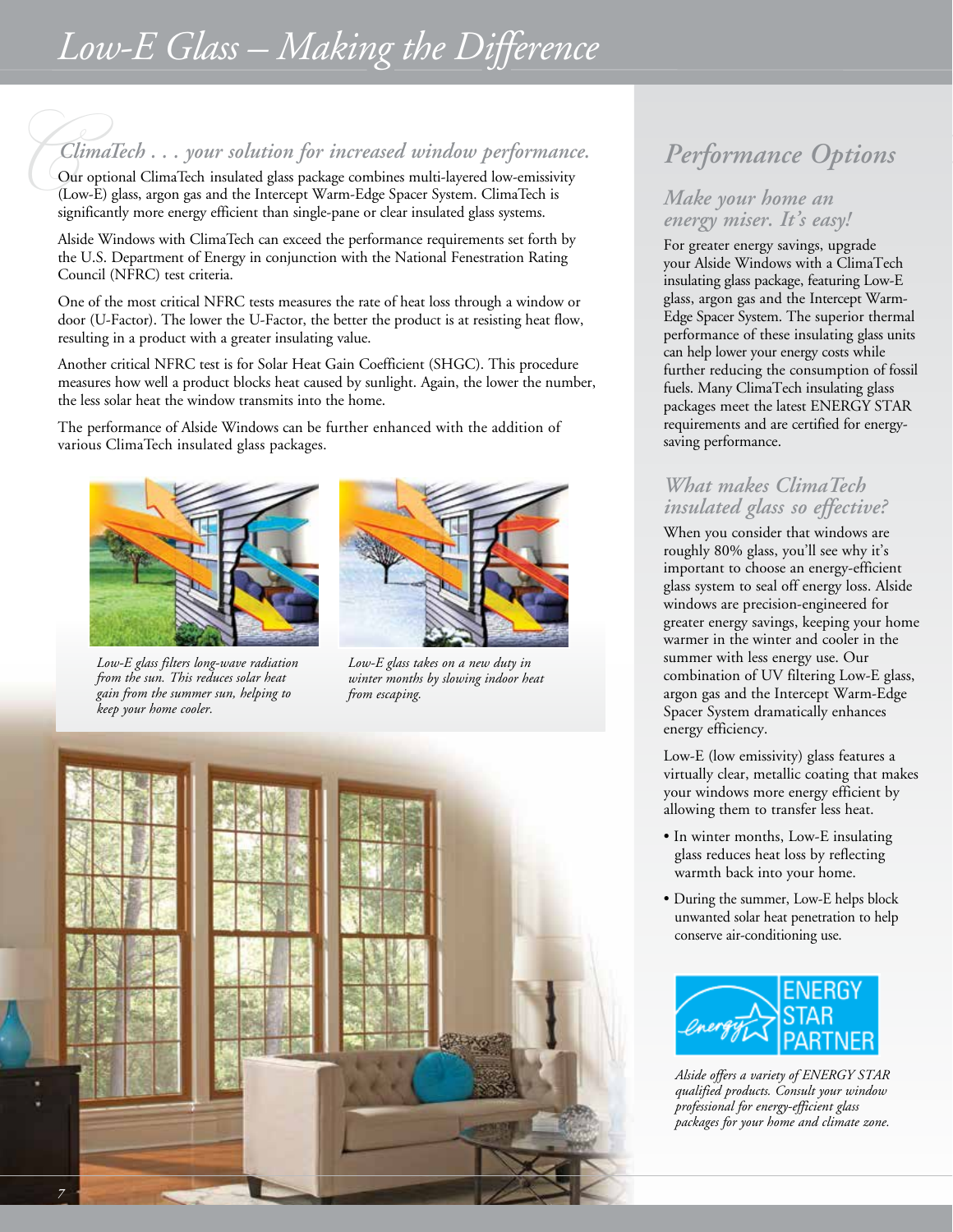# *Low-E Glass – Making the Difference*

*ClimaTech . . . your solution for increased window performance.* Performance Open performance Open performance Open performance of the pass, argon gas and the Intercept Warm-Edge Spacer System. ClimaTech is Make your home Our optional ClimaTech insulated glass package combines multi-layered low-emissivity (Low-E) glass, argon gas and the Intercept Warm-Edge Spacer System. ClimaTech is significantly more energy efficient than single-pane or clear insulated glass systems.

Alside Windows with ClimaTech can exceed the performance requirements set forth by the U.S. Department of Energy in conjunction with the National Fenestration Rating Council (NFRC) test criteria.

One of the most critical NFRC tests measures the rate of heat loss through a window or door (U-Factor). The lower the U-Factor, the better the product is at resisting heat flow, resulting in a product with a greater insulating value.

Another critical NFRC test is for Solar Heat Gain Coefficient (SHGC). This procedure measures how well a product blocks heat caused by sunlight. Again, the lower the number, the less solar heat the window transmits into the home.

The performance of Alside Windows can be further enhanced with the addition of various ClimaTech insulated glass packages.



*Low-E glass filters long-wave radiation from the sun. This reduces solar heat gain from the summer sun, helping to keep your home cooler.*



*Low-E glass takes on a new duty in winter months by slowing indoor heat from escaping.* 



# *Performance Options O*

## *energy miser. It's easy!*

For greater energy savings, upgrade your Alside Windows with a ClimaTech insulating glass package, featuring Low-E glass, argon gas and the Intercept Warm-Edge Spacer System. The superior thermal performance of these insulating glass units can help lower your energy costs while further reducing the consumption of fossil fuels. Many ClimaTech insulating glass packages meet the latest ENERGY STAR requirements and are certified for energysaving performance.

### *What makes ClimaTech insulated glass so effective?*

When you consider that windows are roughly 80% glass, you'll see why it's important to choose an energy-efficient glass system to seal off energy loss. Alside windows are precision-engineered for greater energy savings, keeping your home warmer in the winter and cooler in the summer with less energy use. Our combination of UV filtering Low-E glass, argon gas and the Intercept Warm-Edge Spacer System dramatically enhances energy efficiency.

Low-E (low emissivity) glass features a virtually clear, metallic coating that makes your windows more energy efficient by allowing them to transfer less heat.

- In winter months, Low-E insulating glass reduces heat loss by reflecting warmth back into your home.
- During the summer, Low-E helps block unwanted solar heat penetration to help conserve air-conditioning use.



*Alside offers a variety of ENERGY STAR qualified products. Consult your window professional for energy-efficient glass packages for your home and climate zone.*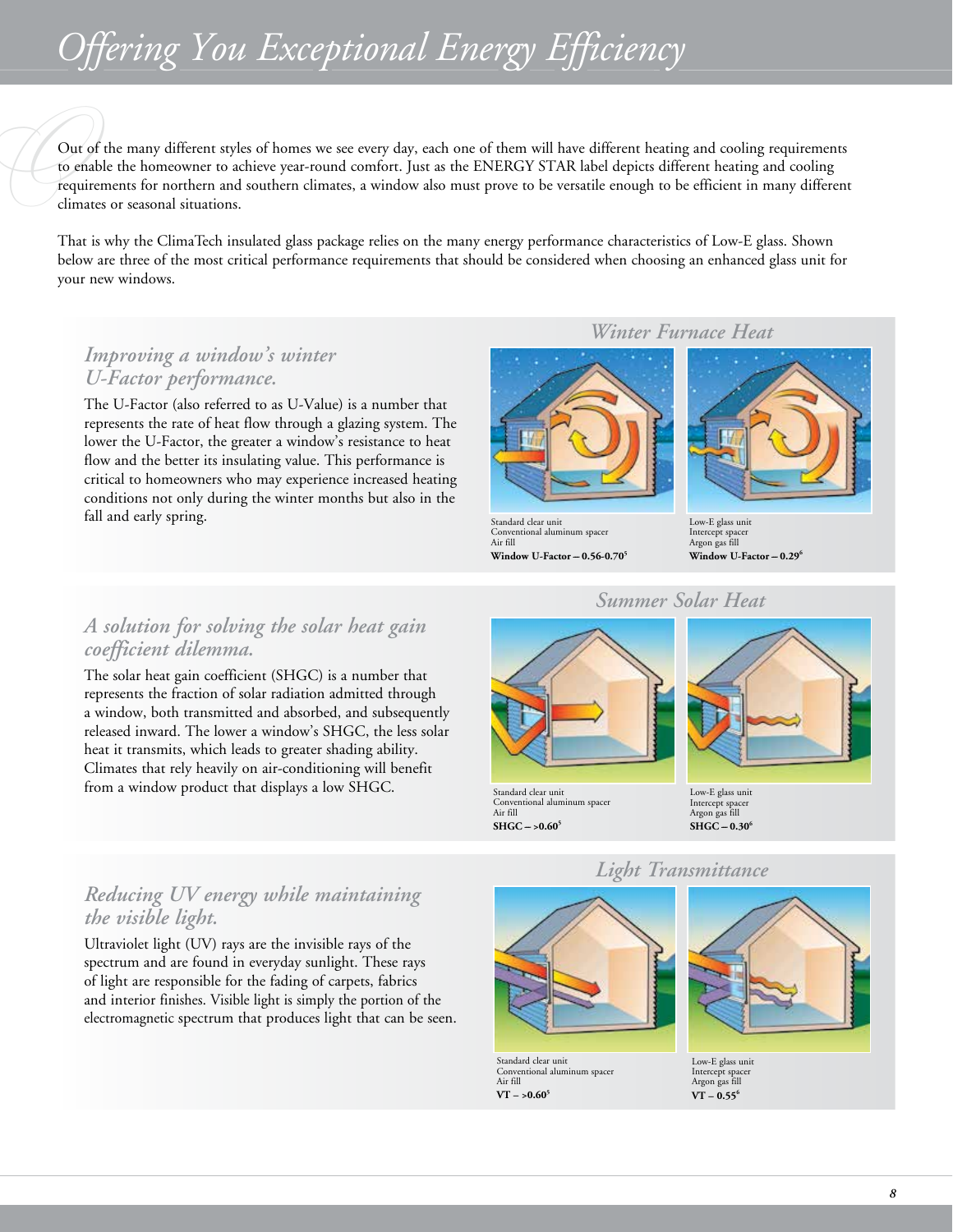# *Offering You Exceptional Energy Efficiency*

Out<br>to er<br>requ<br>clima Out of the many different styles of homes we see every day, each one of them will have different heating and cooling requirements to enable the homeowner to achieve year-round comfort. Just as the ENERGY STAR label depicts different heating and cooling requirements for northern and southern climates, a window also must prove to be versatile enough to be efficient in many different climates or seasonal situations.

That is why the ClimaTech insulated glass package relies on the many energy performance characteristics of Low-E glass. Shown below are three of the most critical performance requirements that should be considered when choosing an enhanced glass unit for your new windows.

### *Improving a window's winter U-Factor performance.*

The U-Factor (also referred to as U-Value) is a number that represents the rate of heat flow through a glazing system. The lower the U-Factor, the greater a window's resistance to heat flow and the better its insulating value. This performance is critical to homeowners who may experience increased heating conditions not only during the winter months but also in the fall and early spring.

### *A solution for solving the solar heat gain coefficient dilemma.*

The solar heat gain coefficient (SHGC) is a number that represents the fraction of solar radiation admitted through a window, both transmitted and absorbed, and subsequently released inward. The lower a window's SHGC, the less solar heat it transmits, which leads to greater shading ability. Climates that rely heavily on air-conditioning will benefit from a window product that displays a low SHGC.

### *Winter Furnace Heat*



Standard clear unit Conventional aluminum spacer Air fill **Window U-Factor -- 0.56-0.70<sup>5</sup>** 



Low-E glass unit Intercept spacer Argon gas fill **Window U-Factor -- 0.29<sup>6</sup>** 

### *Summer Solar Heat*



# Low-E glass unit Intercept spacer Argon gas fill  $SHGC - 0.30^6$

### *Reducing UV energy while maintaining the visible light.*

Ultraviolet light (UV) rays are the invisible rays of the spectrum and are found in everyday sunlight. These rays of light are responsible for the fading of carpets, fabrics and interior finishes. Visible light is simply the portion of the electromagnetic spectrum that produces light that can be seen.



Standard clear unit Conventional aluminum spacer Air fill  $VT - >0.60<sup>5</sup>$ 

Conventional aluminum spacer

Air fill  $SHGC - >0.60<sup>5</sup>$ 

### *Light Transmittance*



Low-E glass unit Intercept spacer Argon gas fill  $VT - 0.55^6$